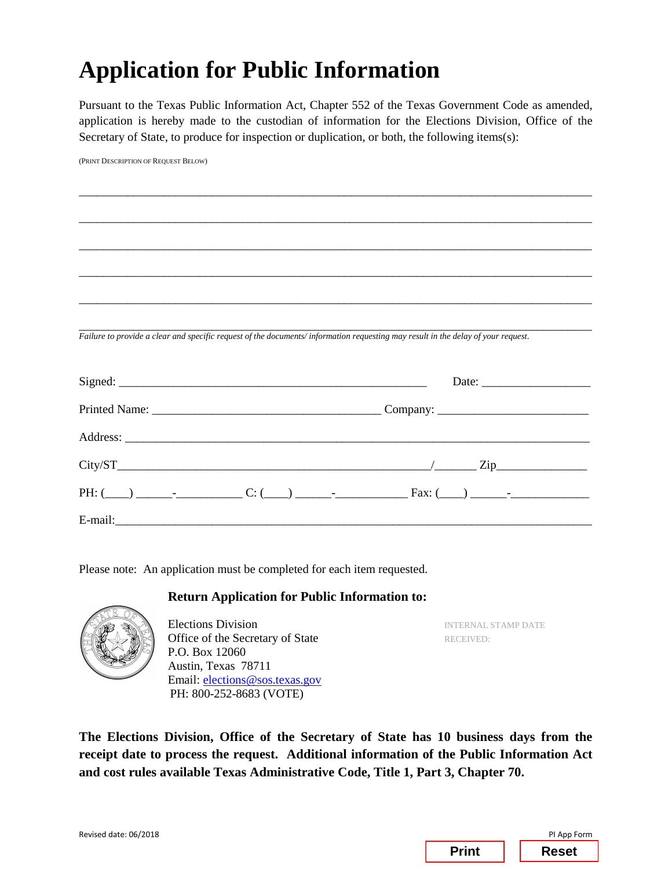## **Application for Public Information**

Pursuant to the Texas Public Information Act, Chapter 552 of the Texas Government Code as amended, application is hereby made to the custodian of information for the Elections Division, Office of the Secretary of State, to produce for inspection or duplication, or both, the following items(s):

| (PRINT DESCRIPTION OF REQUEST BELOW) |                                                                                                                                  |
|--------------------------------------|----------------------------------------------------------------------------------------------------------------------------------|
|                                      |                                                                                                                                  |
|                                      |                                                                                                                                  |
|                                      |                                                                                                                                  |
|                                      |                                                                                                                                  |
|                                      |                                                                                                                                  |
|                                      |                                                                                                                                  |
|                                      |                                                                                                                                  |
|                                      |                                                                                                                                  |
|                                      | Failure to provide a clear and specific request of the documents/information requesting may result in the delay of your request. |
|                                      |                                                                                                                                  |
|                                      |                                                                                                                                  |
|                                      |                                                                                                                                  |
|                                      |                                                                                                                                  |
|                                      |                                                                                                                                  |
|                                      |                                                                                                                                  |
|                                      |                                                                                                                                  |
|                                      |                                                                                                                                  |
|                                      |                                                                                                                                  |
|                                      |                                                                                                                                  |

Please note: An application must be completed for each item requested.

## **Return Application for Public Information to:**



Elections Division Office of the Secretary of State P.O. Box 12060 Austin, Texas 78711 Email: [elections@sos.texas.gov](mailto:elections@sos.texas.gov)  PH: 800-252-8683 (VOTE)

 INTERNAL STAMP DATE RECEIVED:

**The Elections Division, Office of the Secretary of State has 10 business days from the receipt date to process the request. Additional information of the Public Information Act and cost rules available Texas Administrative Code, Title 1, Part 3, Chapter 70.** 

|              | PI App Form  |
|--------------|--------------|
| <b>Print</b> | <b>Reset</b> |